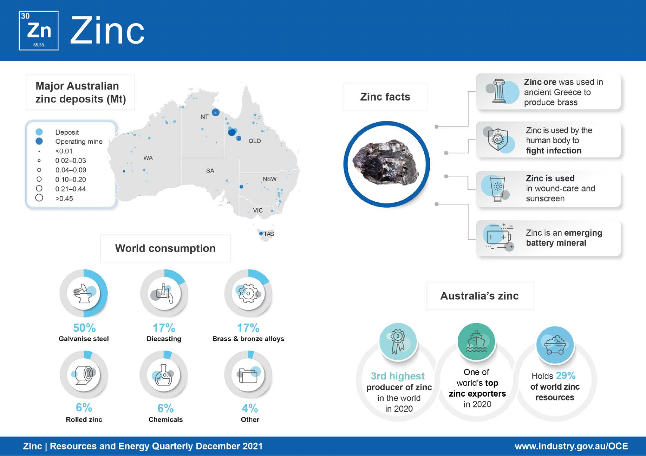

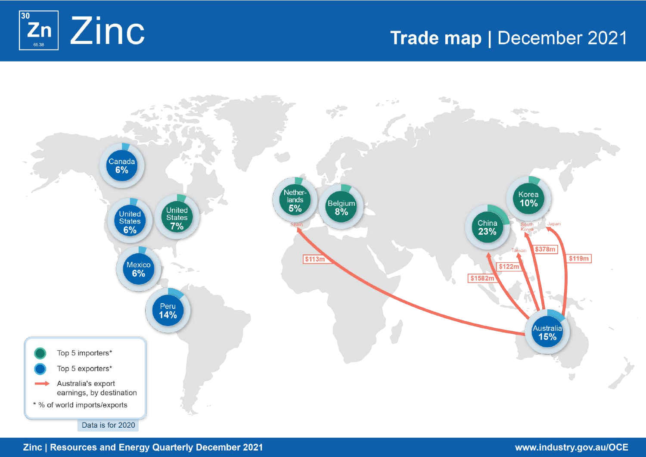

# Trade map | December 2021



# Zinc | Resources and Energy Quarterly December 2021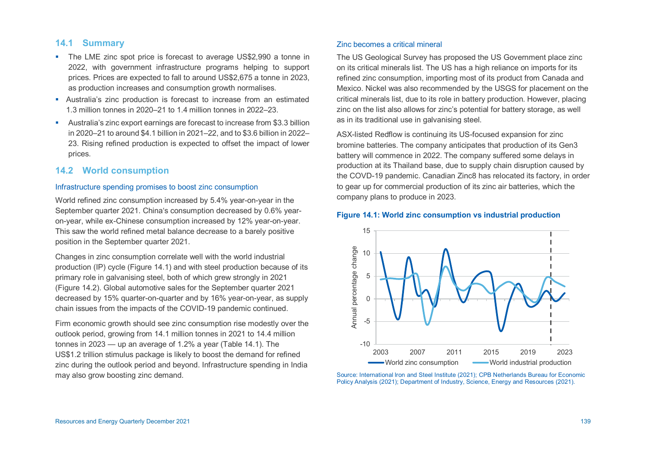# **14.1 Summary**

- The LME zinc spot price is forecast to average US\$2,990 a tonne in 2022, with government infrastructure programs helping to support prices. Prices are expected to fall to around US\$2,675 a tonne in 2023, as production increases and consumption growth normalises.
- Australia's zinc production is forecast to increase from an estimated 1.3 million tonnes in 2020–21 to 1.4 million tonnes in 2022–23.
- Australia's zinc export earnings are forecast to increase from \$3.3 billion in 2020–21 to around \$4.1 billion in 2021–22, and to \$3.6 billion in 2022– 23. Rising refined production is expected to offset the impact of lower prices.

# **14.2 World consumption**

## Infrastructure spending promises to boost zinc consumption

World refined zinc consumption increased by 5.4% year-on-year in the September quarter 2021. China's consumption decreased by 0.6% yearon-year, while ex-Chinese consumption increased by 12% year-on-year. This saw the world refined metal balance decrease to a barely positive position in the September quarter 2021.

Changes in zinc consumption correlate well with the world industrial production (IP) cycle (Figure 14.1) and with steel production because of its primary role in galvanising steel, both of which grew strongly in 2021 (Figure 14.2). Global automotive sales for the September quarter 2021 decreased by 15% quarter-on-quarter and by 16% year-on-year, as supply chain issues from the impacts of the COVID-19 pandemic continued.

Firm economic growth should see zinc consumption rise modestly over the outlook period, growing from 14.1 million tonnes in 2021 to 14.4 million tonnes in 2023 — up an average of 1.2% a year (Table 14.1). The US\$1.2 trillion stimulus package is likely to boost the demand for refined zinc during the outlook period and beyond. Infrastructure spending in India may also grow boosting zinc demand.

#### Zinc becomes a critical mineral

The US Geological Survey has proposed the US Government place zinc on its critical minerals list. The US has a high reliance on imports for its refined zinc consumption, importing most of its product from Canada and Mexico. Nickel was also recommended by the USGS for placement on the critical minerals list, due to its role in battery production. However, placing zinc on the list also allows for zinc's potential for battery storage, as well as in its traditional use in galvanising steel.

ASX-listed Redflow is continuing its US-focused expansion for zinc bromine batteries. The company anticipates that production of its Gen3 battery will commence in 2022. The company suffered some delays in production at its Thailand base, due to supply chain disruption caused by the COVD-19 pandemic. Canadian Zinc8 has relocated its factory, in order to gear up for commercial production of its zinc air batteries, which the company plans to produce in 2023.

#### **Figure 14.1: World zinc consumption vs industrial production**



Source: International Iron and Steel Institute (2021); CPB Netherlands Bureau for Economic Policy Analysis (2021); Department of Industry, Science, Energy and Resources (2021).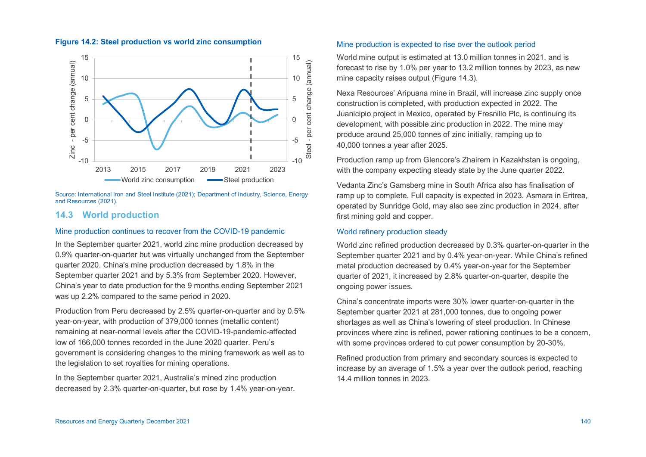# **Figure 14.2: Steel production vs world zinc consumption**



Source: International Iron and Steel Institute (2021); Department of Industry, Science, Energy and Resources (2021).

# **14.3 World production**

# Mine production continues to recover from the COVID-19 pandemic

In the September quarter 2021, world zinc mine production decreased by 0.9% quarter-on-quarter but was virtually unchanged from the September quarter 2020. China's mine production decreased by 1.8% in the September quarter 2021 and by 5.3% from September 2020. However, China's year to date production for the 9 months ending September 2021 was up 2.2% compared to the same period in 2020.

Production from Peru decreased by 2.5% quarter-on-quarter and by 0.5% year-on-year, with production of 379,000 tonnes (metallic content) remaining at near-normal levels after the COVID-19-pandemic-affected low of 166,000 tonnes recorded in the June 2020 quarter. Peru's government is considering changes to the mining framework as well as to the legislation to set royalties for mining operations.

In the September quarter 2021, Australia's mined zinc production decreased by 2.3% quarter-on-quarter, but rose by 1.4% year-on-year.

#### Mine production is expected to rise over the outlook period

World mine output is estimated at 13.0 million tonnes in 2021, and is forecast to rise by 1.0% per year to 13.2 million tonnes by 2023, as new mine capacity raises output (Figure 14.3)*.* 

Nexa Resources' Aripuana mine in Brazil, will increase zinc supply once construction is completed, with production expected in 2022. The Juanicipio project in Mexico, operated by Fresnillo Plc, is continuing its development, with possible zinc production in 2022. The mine may produce around 25,000 tonnes of zinc initially, ramping up to 40,000 tonnes a year after 2025.

Production ramp up from Glencore's Zhairem in Kazakhstan is ongoing, with the company expecting steady state by the June quarter 2022.

Vedanta Zinc's Gamsberg mine in South Africa also has finalisation of ramp up to complete. Full capacity is expected in 2023. Asmara in Eritrea, operated by Sunridge Gold, may also see zinc production in 2024, after first mining gold and copper.

# World refinery production steady

World zinc refined production decreased by 0.3% quarter-on-quarter in the September quarter 2021 and by 0.4% year-on-year. While China's refined metal production decreased by 0.4% year-on-year for the September quarter of 2021, it increased by 2.8% quarter-on-quarter, despite the ongoing power issues.

China's concentrate imports were 30% lower quarter-on-quarter in the September quarter 2021 at 281,000 tonnes, due to ongoing power shortages as well as China's lowering of steel production. In Chinese provinces where zinc is refined, power rationing continues to be a concern, with some provinces ordered to cut power consumption by 20-30%.

Refined production from primary and secondary sources is expected to increase by an average of 1.5% a year over the outlook period, reaching 14.4 million tonnes in 2023.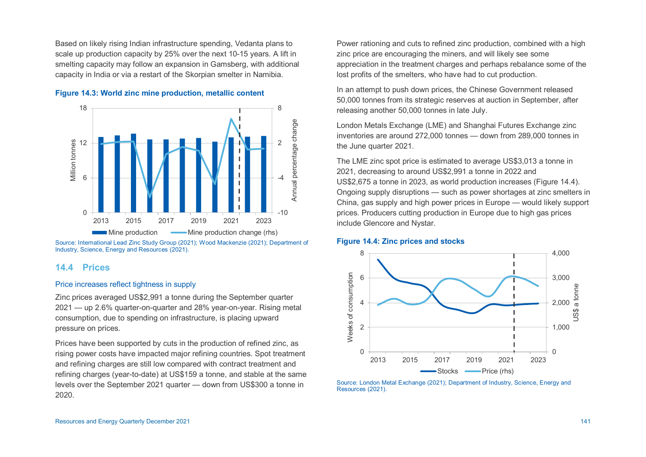Based on likely rising Indian infrastructure spending, Vedanta plans to scale up production capacity by 25% over the next 10-15 years. A lift in smelting capacity may follow an expansion in Gamsberg, with additional capacity in India or via a restart of the Skorpian smelter in Namibia.





Source: International Lead Zinc Study Group (2021); Wood Mackenzie (2021); Department of Industry, Science, Energy and Resources (2021).

# **14.4 Prices**

#### Price increases reflect tightness in supply

Zinc prices averaged US\$2,991 a tonne during the September quarter 2021 — up 2.6% quarter-on-quarter and 28% year-on-year. Rising metal consumption, due to spending on infrastructure, is placing upward pressure on prices.

Prices have been supported by cuts in the production of refined zinc, as rising power costs have impacted major refining countries. Spot treatment and refining charges are still low compared with contract treatment and refining charges (year-to-date) at US\$159 a tonne, and stable at the same levels over the September 2021 quarter — down from US\$300 a tonne in 2020.

Power rationing and cuts to refined zinc production, combined with a high zinc price are encouraging the miners, and will likely see some appreciation in the treatment charges and perhaps rebalance some of the lost profits of the smelters, who have had to cut production.

In an attempt to push down prices, the Chinese Government released 50,000 tonnes from its strategic reserves at auction in September, after releasing another 50,000 tonnes in late July.

London Metals Exchange (LME) and Shanghai Futures Exchange zinc inventories are around 272,000 tonnes — down from 289,000 tonnes in the June quarter 2021.

The LME zinc spot price is estimated to average US\$3,013 a tonne in 2021, decreasing to around US\$2,991 a tonne in 2022 and US\$2,675 a tonne in 2023, as world production increases (Figure 14.4). Ongoing supply disruptions — such as power shortages at zinc smelters in China, gas supply and high power prices in Europe — would likely support prices. Producers cutting production in Europe due to high gas prices include Glencore and Nystar.

#### **Figure 14.4: Zinc prices and stocks**



Source: London Metal Exchange (2021); Department of Industry, Science, Energy and Resources (2021).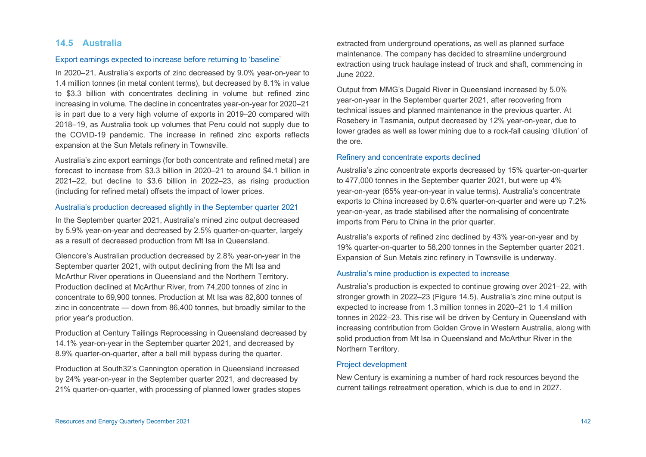# **14.5 Australia**

## Export earnings expected to increase before returning to 'baseline'

In 2020–21, Australia's exports of zinc decreased by 9.0% year-on-year to 1.4 million tonnes (in metal content terms), but decreased by 8.1% in value to \$3.3 billion with concentrates declining in volume but refined zinc increasing in volume. The decline in concentrates year-on-year for 2020–21 is in part due to a very high volume of exports in 2019–20 compared with 2018–19, as Australia took up volumes that Peru could not supply due to the COVID-19 pandemic. The increase in refined zinc exports reflects expansion at the Sun Metals refinery in Townsville.

Australia's zinc export earnings (for both concentrate and refined metal) are forecast to increase from \$3.3 billion in 2020–21 to around \$4.1 billion in 2021–22, but decline to \$3.6 billion in 2022–23, as rising production (including for refined metal) offsets the impact of lower prices.

## Australia's production decreased slightly in the September quarter 2021

In the September quarter 2021, Australia's mined zinc output decreased by 5.9% year-on-year and decreased by 2.5% quarter-on-quarter, largely as a result of decreased production from Mt Isa in Queensland.

Glencore's Australian production decreased by 2.8% year-on-year in the September quarter 2021, with output declining from the Mt Isa and McArthur River operations in Queensland and the Northern Territory. Production declined at McArthur River, from 74,200 tonnes of zinc in concentrate to 69,900 tonnes. Production at Mt Isa was 82,800 tonnes of zinc in concentrate — down from 86,400 tonnes, but broadly similar to the prior year's production.

Production at Century Tailings Reprocessing in Queensland decreased by 14.1% year-on-year in the September quarter 2021, and decreased by 8.9% quarter-on-quarter, after a ball mill bypass during the quarter.

Production at South32's Cannington operation in Queensland increased by 24% year-on-year in the September quarter 2021, and decreased by 21% quarter-on-quarter, with processing of planned lower grades stopes

extracted from underground operations, as well as planned surface maintenance. The company has decided to streamline underground extraction using truck haulage instead of truck and shaft, commencing in June 2022.

Output from MMG's Dugald River in Queensland increased by 5.0% year-on-year in the September quarter 2021, after recovering from technical issues and planned maintenance in the previous quarter. At Rosebery in Tasmania, output decreased by 12% year-on-year, due to lower grades as well as lower mining due to a rock-fall causing 'dilution' of the ore.

#### Refinery and concentrate exports declined

Australia's zinc concentrate exports decreased by 15% quarter-on-quarter to 477,000 tonnes in the September quarter 2021, but were up 4% year-on-year (65% year-on-year in value terms). Australia's concentrate exports to China increased by 0.6% quarter-on-quarter and were up 7.2% year-on-year, as trade stabilised after the normalising of concentrate imports from Peru to China in the prior quarter.

Australia's exports of refined zinc declined by 43% year-on-year and by 19% quarter-on-quarter to 58,200 tonnes in the September quarter 2021. Expansion of Sun Metals zinc refinery in Townsville is underway.

#### Australia's mine production is expected to increase

Australia's production is expected to continue growing over 2021–22, with stronger growth in 2022–23 (Figure 14.5). Australia's zinc mine output is expected to increase from 1.3 million tonnes in 2020–21 to 1.4 million tonnes in 2022–23. This rise will be driven by Century in Queensland with increasing contribution from Golden Grove in Western Australia, along with solid production from Mt Isa in Queensland and McArthur River in the Northern Territory.

#### Project development

New Century is examining a number of hard rock resources beyond the current tailings retreatment operation, which is due to end in 2027.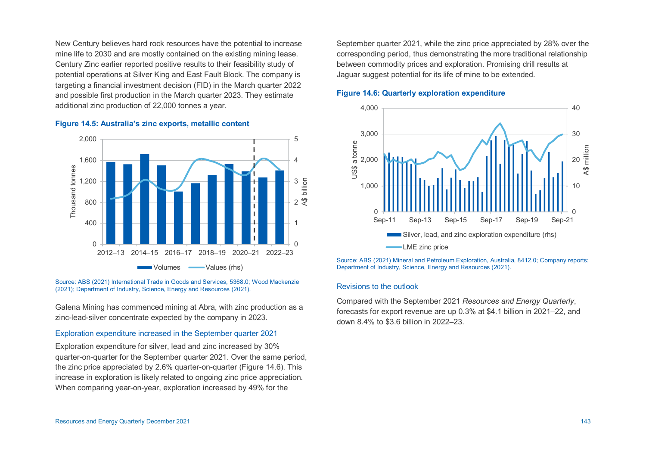New Century believes hard rock resources have the potential to increase mine life to 2030 and are mostly contained on the existing mining lease. Century Zinc earlier reported positive results to their feasibility study of potential operations at Silver King and East Fault Block. The company is targeting a financial investment decision (FID) in the March quarter 2022 and possible first production in the March quarter 2023. They estimate additional zinc production of 22,000 tonnes a year.



#### **Figure 14.5: Australia's zinc exports, metallic content**

Source: ABS (2021) International Trade in Goods and Services, 5368.0; Wood Mackenzie (2021); Department of Industry, Science, Energy and Resources (2021).

Galena Mining has commenced mining at Abra, with zinc production as a zinc-lead-silver concentrate expected by the company in 2023.

## Exploration expenditure increased in the September quarter 2021

Exploration expenditure for silver, lead and zinc increased by 30% quarter-on-quarter for the September quarter 2021. Over the same period, the zinc price appreciated by 2.6% quarter-on-quarter (Figure 14.6). This increase in exploration is likely related to ongoing zinc price appreciation. When comparing year-on-year, exploration increased by 49% for the

September quarter 2021, while the zinc price appreciated by 28% over the corresponding period, thus demonstrating the more traditional relationship between commodity prices and exploration. Promising drill results at Jaguar suggest potential for its life of mine to be extended.

#### **Figure 14.6: Quarterly exploration expenditure**



Source: ABS (2021) Mineral and Petroleum Exploration, Australia, 8412.0; Company reports; Department of Industry, Science, Energy and Resources (2021).

#### Revisions to the outlook

Compared with the September 2021 *Resources and Energy Quarterly*, forecasts for export revenue are up 0.3% at \$4.1 billion in 2021–22, and down 8.4% to \$3.6 billion in 2022–23.